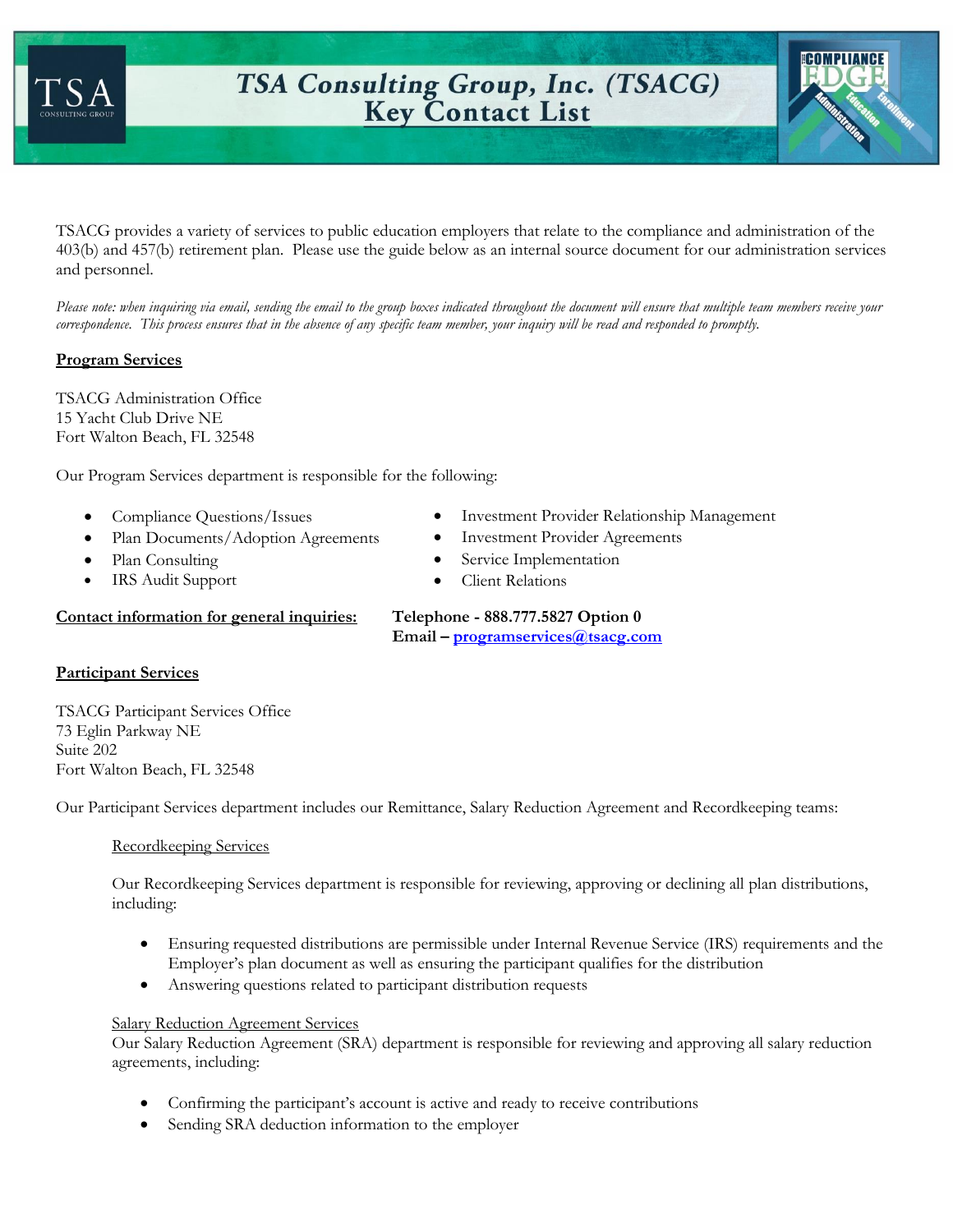TSACG provides a variety of services to public education employers that relate to the compliance and administration of the 403(b) and 457(b) retirement plan. Please use the guide below as an internal source document for our administration services and personnel.

*Please note: when inquiring via email, sending the email to the group boxes indicated throughout the document will ensure that multiple team members receive your correspondence. This process ensures that in the absence of any specific team member, your inquiry will be read and responded to promptly.*

## **Program Services**

TSACG Administration Office 15 Yacht Club Drive NE Fort Walton Beach, FL 32548

Our Program Services department is responsible for the following:

- Compliance Questions/Issues
- Plan Documents/Adoption Agreements
- Plan Consulting
- IRS Audit Support
- Investment Provider Relationship Management
- Service Implementation
- Client Relations

## **Contact information for general inquiries:**

Telephone - 888.777.5827 Option 0 **Email – [programservices@tsacg.com](mailto:programservices@tsacg.com)**

## **Participant Services**

TSACG Participant Services Office 73 Eglin Parkway NE Suite 202 Fort Walton Beach, FL 32548

Our Participant Services department includes our Remittance, Salary Reduction Agreement and Recordkeeping teams:

## Recordkeeping Services

Our Recordkeeping Services department is responsible for reviewing, approving or declining all plan distributions, including:

- Ensuring requested distributions are permissible under Internal Revenue Service (IRS) requirements and the Employer's plan document as well as ensuring the participant qualifies for the distribution
- Answering questions related to participant distribution requests

## Salary Reduction Agreement Services

Our Salary Reduction Agreement (SRA) department is responsible for reviewing and approving all salary reduction agreements, including:

- Confirming the participant's account is active and ready to receive contributions
- Sending SRA deduction information to the employer

## TSA Consulting Group, Inc. (TSACG) **Key Contact List**

Investment Provider Agreements